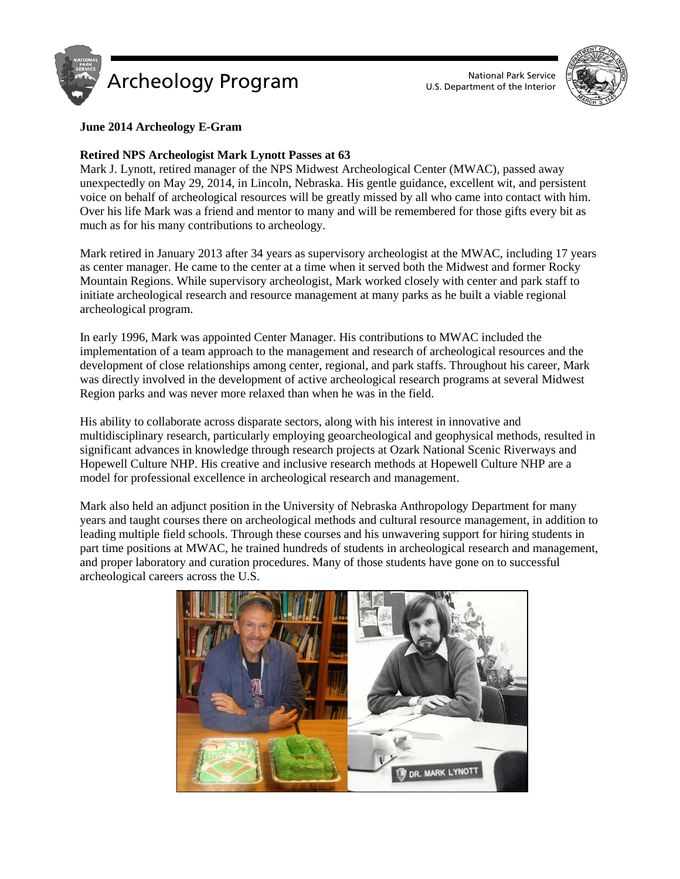



# **June 2014 Archeology E-Gram**

## **Retired NPS Archeologist Mark Lynott Passes at 63**

Mark J. Lynott, retired manager of the NPS Midwest Archeological Center (MWAC), passed away unexpectedly on May 29, 2014, in Lincoln, Nebraska. His gentle guidance, excellent wit, and persistent voice on behalf of archeological resources will be greatly missed by all who came into contact with him. Over his life Mark was a friend and mentor to many and will be remembered for those gifts every bit as much as for his many contributions to archeology.

Mark retired in January 2013 after 34 years as supervisory archeologist at the MWAC, including 17 years as center manager. He came to the center at a time when it served both the Midwest and former Rocky Mountain Regions. While supervisory archeologist, Mark worked closely with center and park staff to initiate archeological research and resource management at many parks as he built a viable regional archeological program.

In early 1996, Mark was appointed Center Manager. His contributions to MWAC included the implementation of a team approach to the management and research of archeological resources and the development of close relationships among center, regional, and park staffs. Throughout his career, Mark was directly involved in the development of active archeological research programs at several Midwest Region parks and was never more relaxed than when he was in the field.

His ability to collaborate across disparate sectors, along with his interest in innovative and multidisciplinary research, particularly employing geoarcheological and geophysical methods, resulted in significant advances in knowledge through research projects at Ozark National Scenic Riverways and Hopewell Culture NHP. His creative and inclusive research methods at Hopewell Culture NHP are a model for professional excellence in archeological research and management.

Mark also held an adjunct position in the University of Nebraska Anthropology Department for many years and taught courses there on archeological methods and cultural resource management, in addition to leading multiple field schools. Through these courses and his unwavering support for hiring students in part time positions at MWAC, he trained hundreds of students in archeological research and management, and proper laboratory and curation procedures. Many of those students have gone on to successful archeological careers across the U.S.

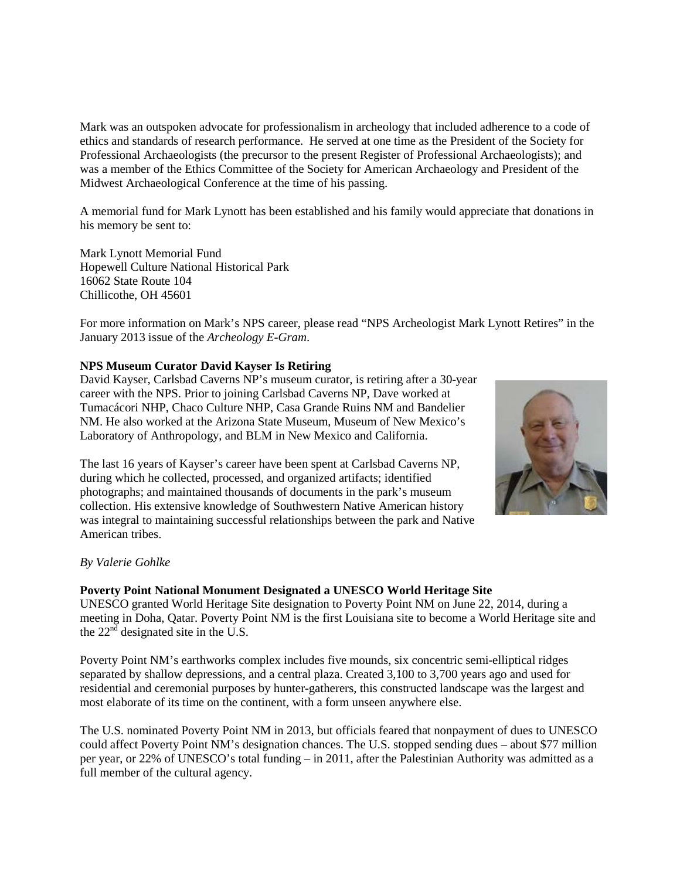Mark was an outspoken advocate for professionalism in archeology that included adherence to a code of ethics and standards of research performance. He served at one time as the President of the Society for Professional Archaeologists (the precursor to the present Register of Professional Archaeologists); and was a member of the Ethics Committee of the Society for American Archaeology and President of the Midwest Archaeological Conference at the time of his passing.

A memorial fund for Mark Lynott has been established and his family would appreciate that donations in his memory be sent to:

Mark Lynott Memorial Fund Hopewell Culture National Historical Park 16062 State Route 104 Chillicothe, OH 45601

For more information on Mark's NPS career, please read "NPS Archeologist Mark Lynott Retires" in the January 2013 issue of the *Archeology E-Gram*.

## **NPS Museum Curator David Kayser Is Retiring**

David Kayser, Carlsbad Caverns NP's museum curator, is retiring after a 30-year career with the NPS. Prior to joining Carlsbad Caverns NP, Dave worked at Tumacácori NHP, Chaco Culture NHP, Casa Grande Ruins NM and Bandelier NM. He also worked at the Arizona State Museum, Museum of New Mexico's Laboratory of Anthropology, and BLM in New Mexico and California.

The last 16 years of Kayser's career have been spent at Carlsbad Caverns NP, during which he collected, processed, and organized artifacts; identified photographs; and maintained thousands of documents in the park's museum collection. His extensive knowledge of Southwestern Native American history was integral to maintaining successful relationships between the park and Native American tribes.



#### *By Valerie Gohlke*

#### **Poverty Point National Monument Designated a UNESCO World Heritage Site**

UNESCO granted World Heritage Site designation to Poverty Point NM on June 22, 2014, during a meeting in Doha, Qatar. Poverty Point NM is the first Louisiana site to become a World Heritage site and the  $22<sup>nd</sup>$  designated site in the U.S.

Poverty Point NM's earthworks complex includes five mounds, six concentric semi-elliptical ridges separated by shallow depressions, and a central plaza. Created 3,100 to 3,700 years ago and used for residential and ceremonial purposes by hunter-gatherers, this constructed landscape was the largest and most elaborate of its time on the continent, with a form unseen anywhere else.

The U.S. nominated Poverty Point NM in 2013, but officials feared that nonpayment of dues to UNESCO could affect Poverty Point NM's designation chances. The U.S. stopped sending dues – about \$77 million per year, or 22% of UNESCO's total funding – in 2011, after the Palestinian Authority was admitted as a full member of the cultural agency.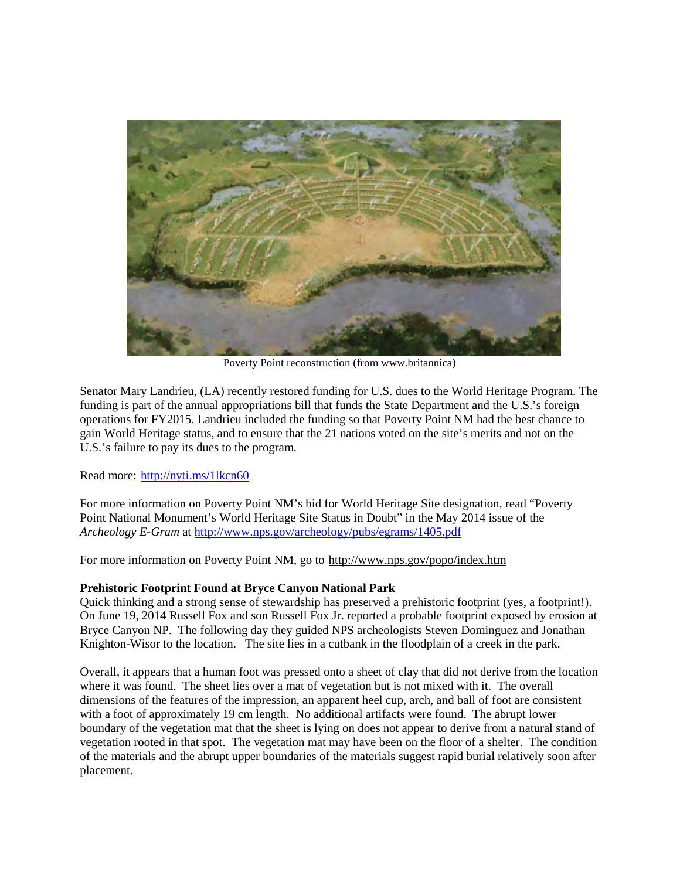

Poverty Point reconstruction (from www.britannica)

Senator Mary Landrieu, (LA) recently restored funding for U.S. dues to the World Heritage Program. The funding is part of the annual appropriations bill that funds the State Department and the U.S.'s foreign operations for FY2015. Landrieu included the funding so that Poverty Point NM had the best chance to gain World Heritage status, and to ensure that the 21 nations voted on the site's merits and not on the U.S.'s failure to pay its dues to the program.

Read more:<http://nyti.ms/1lkcn60>

For more information on Poverty Point NM's bid for World Heritage Site designation, read "Poverty Point National Monument's World Heritage Site Status in Doubt" in the May 2014 issue of the *Archeology E-Gram* at <http://www.nps.gov/archeology/pubs/egrams/1405.pdf>

For more information on Poverty Point NM, go to<http://www.nps.gov/popo/index.htm>

## **Prehistoric Footprint Found at Bryce Canyon National Park**

Quick thinking and a strong sense of stewardship has preserved a prehistoric footprint (yes, a footprint!). On June 19, 2014 Russell Fox and son Russell Fox Jr. reported a probable footprint exposed by erosion at Bryce Canyon NP. The following day they guided NPS archeologists Steven Dominguez and Jonathan Knighton-Wisor to the location. The site lies in a cutbank in the floodplain of a creek in the park.

Overall, it appears that a human foot was pressed onto a sheet of clay that did not derive from the location where it was found. The sheet lies over a mat of vegetation but is not mixed with it. The overall dimensions of the features of the impression, an apparent heel cup, arch, and ball of foot are consistent with a foot of approximately 19 cm length. No additional artifacts were found. The abrupt lower boundary of the vegetation mat that the sheet is lying on does not appear to derive from a natural stand of vegetation rooted in that spot. The vegetation mat may have been on the floor of a shelter. The condition of the materials and the abrupt upper boundaries of the materials suggest rapid burial relatively soon after placement.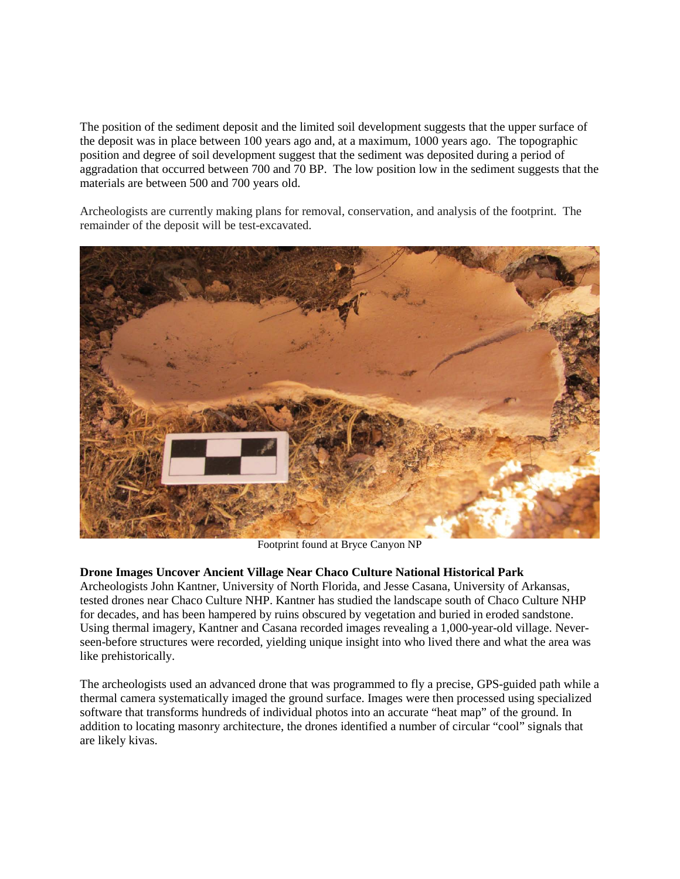The position of the sediment deposit and the limited soil development suggests that the upper surface of the deposit was in place between 100 years ago and, at a maximum, 1000 years ago. The topographic position and degree of soil development suggest that the sediment was deposited during a period of aggradation that occurred between 700 and 70 BP. The low position low in the sediment suggests that the materials are between 500 and 700 years old.

Archeologists are currently making plans for removal, conservation, and analysis of the footprint. The remainder of the deposit will be test-excavated.



Footprint found at Bryce Canyon NP

## **Drone Images Uncover Ancient Village Near Chaco Culture National Historical Park**

Archeologists John Kantner, University of North Florida, and Jesse Casana, University of Arkansas, tested drones near Chaco Culture NHP. Kantner has studied the landscape south of Chaco Culture NHP for decades, and has been hampered by ruins obscured by vegetation and buried in eroded sandstone. Using thermal imagery, Kantner and Casana recorded images revealing a 1,000-year-old village. Neverseen-before structures were recorded, yielding unique insight into who lived there and what the area was like prehistorically.

The archeologists used an advanced drone that was programmed to fly a precise, GPS-guided path while a thermal camera systematically imaged the ground surface. Images were then processed using specialized software that transforms hundreds of individual photos into an accurate "heat map" of the ground. In addition to locating masonry architecture, the drones identified a number of circular "cool" signals that are likely kivas.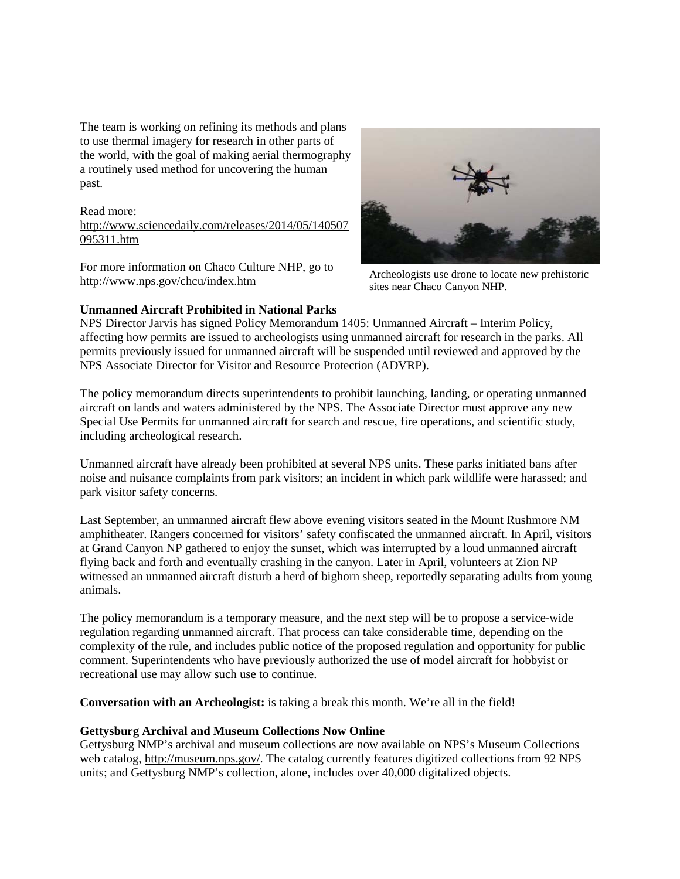The team is working on refining its methods and plans to use thermal imagery for research in other parts of the world, with the goal of making aerial thermography a routinely used method for uncovering the human past.

Read more: [http://www.sciencedaily.com/releases/2014/05/140507](http://www.sciencedaily.com/releases/2014/05/140507095311.htm) [095311.htm](http://www.sciencedaily.com/releases/2014/05/140507095311.htm)

For more information on Chaco Culture NHP, go to <http://www.nps.gov/chcu/index.htm>

## **Unmanned Aircraft Prohibited in National Parks**



Archeologists use drone to locate new prehistoric sites near Chaco Canyon NHP.

NPS Director Jarvis has signed Policy Memorandum 1405: Unmanned Aircraft – Interim Policy, affecting how permits are issued to archeologists using unmanned aircraft for research in the parks. All permits previously issued for unmanned aircraft will be suspended until reviewed and approved by the NPS Associate Director for Visitor and Resource Protection (ADVRP).

The policy memorandum directs superintendents to prohibit launching, landing, or operating unmanned aircraft on lands and waters administered by the NPS. The Associate Director must approve any new Special Use Permits for unmanned aircraft for search and rescue, fire operations, and scientific study, including archeological research.

Unmanned aircraft have already been prohibited at several NPS units. These parks initiated bans after noise and nuisance complaints from park visitors; an incident in which park wildlife were harassed; and park visitor safety concerns.

Last September, an unmanned aircraft flew above evening visitors seated in the Mount Rushmore NM amphitheater. Rangers concerned for visitors' safety confiscated the unmanned aircraft. In April, visitors at Grand Canyon NP gathered to enjoy the sunset, which was interrupted by a loud unmanned aircraft flying back and forth and eventually crashing in the canyon. Later in April, volunteers at Zion NP witnessed an unmanned aircraft disturb a herd of bighorn sheep, reportedly separating adults from young animals.

The policy memorandum is a temporary measure, and the next step will be to propose a service-wide regulation regarding unmanned aircraft. That process can take considerable time, depending on the complexity of the rule, and includes public notice of the proposed regulation and opportunity for public comment. Superintendents who have previously authorized the use of model aircraft for hobbyist or recreational use may allow such use to continue.

**Conversation with an Archeologist:** is taking a break this month. We're all in the field!

## **Gettysburg Archival and Museum Collections Now Online**

Gettysburg NMP's archival and museum collections are now available on NPS's Museum Collections web catalog, [http://museum.nps.gov/.](http://museum.nps.gov/) The catalog currently features digitized collections from 92 NPS units; and Gettysburg NMP's collection, alone, includes over 40,000 digitalized objects.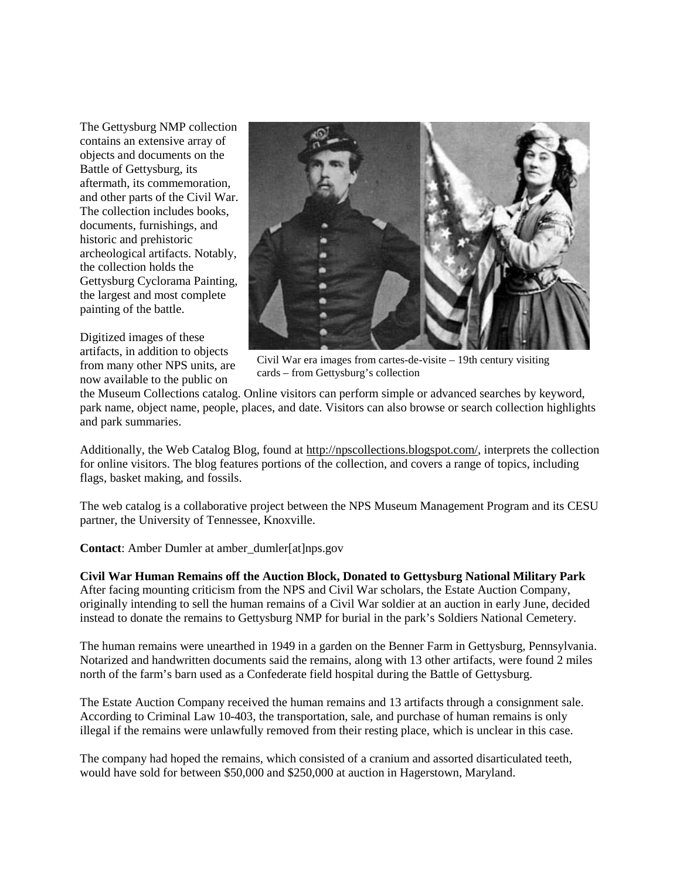The Gettysburg NMP collection contains an extensive array of objects and documents on the Battle of Gettysburg, its aftermath, its commemoration, and other parts of the Civil War. The collection includes books, documents, furnishings, and historic and prehistoric archeological artifacts. Notably, the collection holds the Gettysburg Cyclorama Painting, the largest and most complete painting of the battle.

Digitized images of these artifacts, in addition to objects from many other NPS units, are now available to the public on



Civil War era images from cartes-de-visite – 19th century visiting cards – from Gettysburg's collection

the Museum Collections catalog. Online visitors can perform simple or advanced searches by keyword, park name, object name, people, places, and date. Visitors can also browse or search collection highlights and park summaries.

Additionally, the Web Catalog Blog, found at [http://npscollections.blogspot.com/,](http://npscollections.blogspot.com/) interprets the collection for online visitors. The blog features portions of the collection, and covers a range of topics, including flags, basket making, and fossils.

The web catalog is a collaborative project between the NPS Museum Management Program and its CESU partner, the University of Tennessee, Knoxville.

**Contact**: Amber Dumler at amber\_dumler[at]nps.gov

**Civil War Human Remains off the Auction Block, Donated to Gettysburg National Military Park** After facing mounting criticism from the NPS and Civil War scholars, the Estate Auction Company, originally intending to sell the human remains of a Civil War soldier at an auction in early June, decided instead to donate the remains to Gettysburg NMP for burial in the park's Soldiers National Cemetery.

The human remains were unearthed in 1949 in a garden on the Benner Farm in Gettysburg, Pennsylvania. Notarized and handwritten documents said the remains, along with 13 other artifacts, were found 2 miles north of the farm's barn used as a Confederate field hospital during the Battle of Gettysburg.

The Estate Auction Company received the human remains and 13 artifacts through a consignment sale. According to Criminal Law 10-403, the transportation, sale, and purchase of human remains is only illegal if the remains were unlawfully removed from their resting place, which is unclear in this case.

The company had hoped the remains, which consisted of a cranium and assorted disarticulated teeth, would have sold for between \$50,000 and \$250,000 at auction in Hagerstown, Maryland.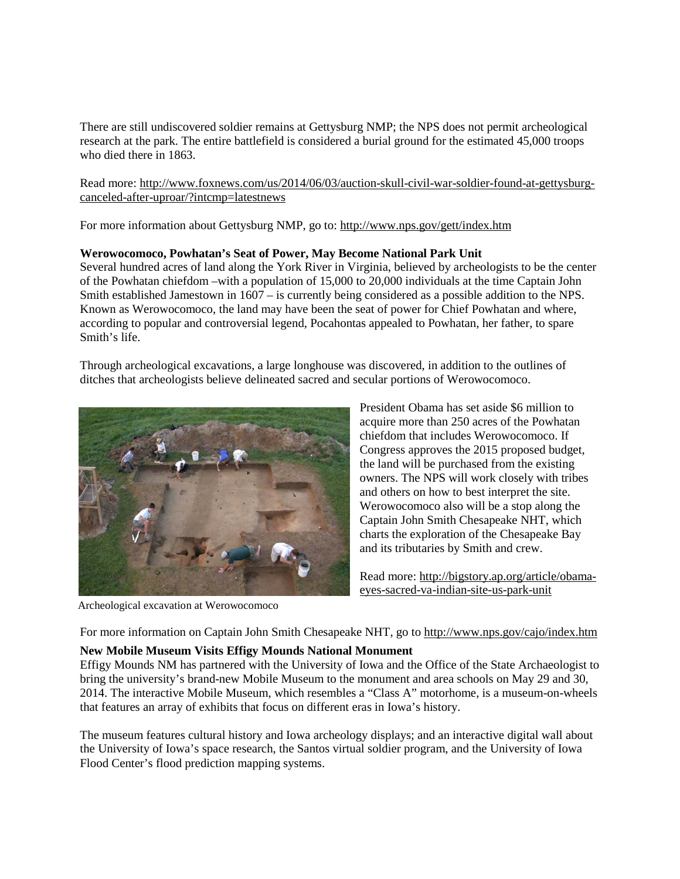There are still undiscovered soldier remains at Gettysburg NMP; the NPS does not permit archeological research at the park. The entire battlefield is considered a burial ground for the estimated 45,000 troops who died there in 1863.

Read more: [http://www.foxnews.com/us/2014/06/03/auction-skull-civil-war-soldier-found-at-gettysburg](http://www.foxnews.com/us/2014/06/03/auction-skull-civil-war-soldier-found-at-gettysburg-canceled-after-uproar/?intcmp=latestnews)[canceled-after-uproar/?intcmp=latestnews](http://www.foxnews.com/us/2014/06/03/auction-skull-civil-war-soldier-found-at-gettysburg-canceled-after-uproar/?intcmp=latestnews)

For more information about Gettysburg NMP, go to:<http://www.nps.gov/gett/index.htm>

#### **Werowocomoco, Powhatan's Seat of Power, May Become National Park Unit**

Several hundred acres of land along the York River in Virginia, believed by archeologists to be the center of the Powhatan chiefdom –with a population of 15,000 to 20,000 individuals at the time Captain John Smith established Jamestown in 1607 – is currently being considered as a possible addition to the NPS. Known as Werowocomoco, the land may have been the seat of power for Chief Powhatan and where, according to popular and controversial legend, Pocahontas appealed to Powhatan, her father, to spare Smith's life.

Through archeological excavations, a large longhouse was discovered, in addition to the outlines of ditches that archeologists believe delineated sacred and secular portions of Werowocomoco.



Archeological excavation at Werowocomoco

President Obama has set aside \$6 million to acquire more than 250 acres of the Powhatan chiefdom that includes Werowocomoco. If Congress approves the 2015 proposed budget, the land will be purchased from the existing owners. The NPS will work closely with tribes and others on how to best interpret the site. Werowocomoco also will be a stop along the Captain John Smith Chesapeake NHT, which charts the exploration of the Chesapeake Bay and its tributaries by Smith and crew.

Read more: [http://bigstory.ap.org/article/obama](http://bigstory.ap.org/article/obama-eyes-sacred-va-indian-site-us-park-unit)[eyes-sacred-va-indian-site-us-park-unit](http://bigstory.ap.org/article/obama-eyes-sacred-va-indian-site-us-park-unit)

For more information on Captain John Smith Chesapeake NHT, go to<http://www.nps.gov/cajo/index.htm>

## **New Mobile Museum Visits Effigy Mounds National Monument**

Effigy Mounds NM has partnered with the University of Iowa and the Office of the State Archaeologist to bring the university's brand-new Mobile Museum to the monument and area schools on May 29 and 30, 2014. The interactive Mobile Museum, which resembles a "Class A" motorhome, is a museum-on-wheels that features an array of exhibits that focus on different eras in Iowa's history.

The museum features cultural history and Iowa archeology displays; and an interactive digital wall about the University of Iowa's space research, the Santos virtual soldier program, and the University of Iowa Flood Center's flood prediction mapping systems.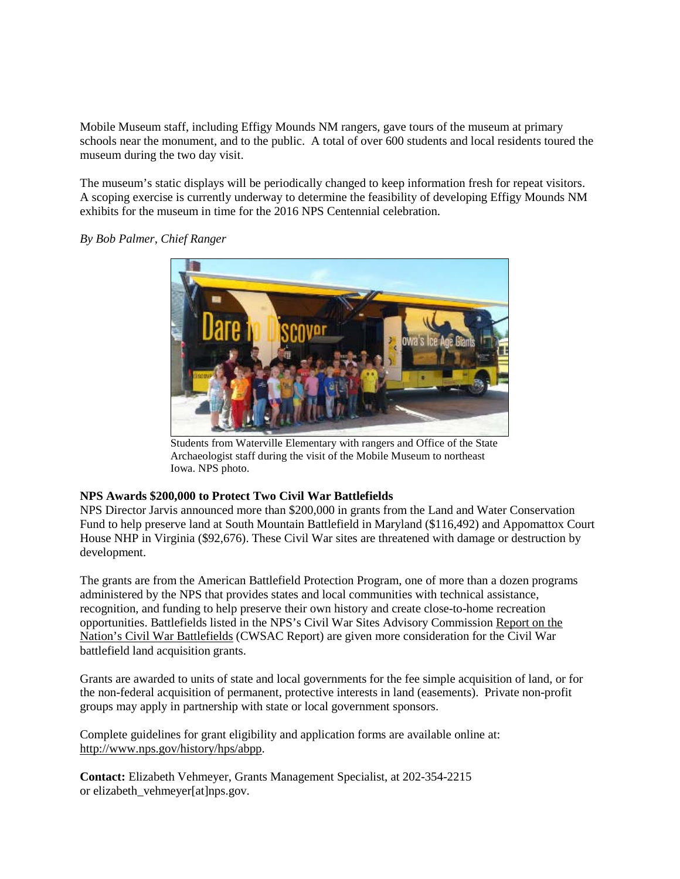Mobile Museum staff, including Effigy Mounds NM rangers, gave tours of the museum at primary schools near the monument, and to the public. A total of over 600 students and local residents toured the museum during the two day visit.

The museum's static displays will be periodically changed to keep information fresh for repeat visitors. A scoping exercise is currently underway to determine the feasibility of developing Effigy Mounds NM exhibits for the museum in time for the 2016 NPS Centennial celebration.



*By Bob Palmer, Chief Ranger*

Students from Waterville Elementary with rangers and Office of the State Archaeologist staff during the visit of the Mobile Museum to northeast Iowa. NPS photo.

# **NPS Awards \$200,000 to Protect Two Civil War Battlefields**

NPS Director Jarvis announced more than \$200,000 in grants from the Land and Water Conservation Fund to help preserve land at South Mountain Battlefield in Maryland (\$116,492) and Appomattox Court House NHP in Virginia (\$92,676). These Civil War sites are threatened with damage or destruction by development.

The grants are from the American Battlefield Protection Program, one of more than a dozen programs administered by the NPS that provides states and local communities with technical assistance, recognition, and funding to help preserve their own history and create close-to-home recreation opportunities. Battlefields listed in the NPS's Civil War Sites Advisory Commission [Report on the](http://www.nps.gov/hps/abpp/cwsac/cws0-1.html)  [Nation's Civil War Battlefields](http://www.nps.gov/hps/abpp/cwsac/cws0-1.html) (CWSAC Report) are given more consideration for the Civil War battlefield land acquisition grants.

Grants are awarded to units of state and local governments for the fee simple acquisition of land, or for the non-federal acquisition of permanent, protective interests in land (easements). Private non-profit groups may apply in partnership with state or local government sponsors.

Complete guidelines for grant eligibility and application forms are available online at: [http://www.nps.gov/history/hps/abpp.](http://www.nps.gov/history/hps/abpp)

**Contact:** Elizabeth Vehmeyer, Grants Management Specialist, at 202-354-2215 or elizabeth\_vehmeyer[at]nps.gov.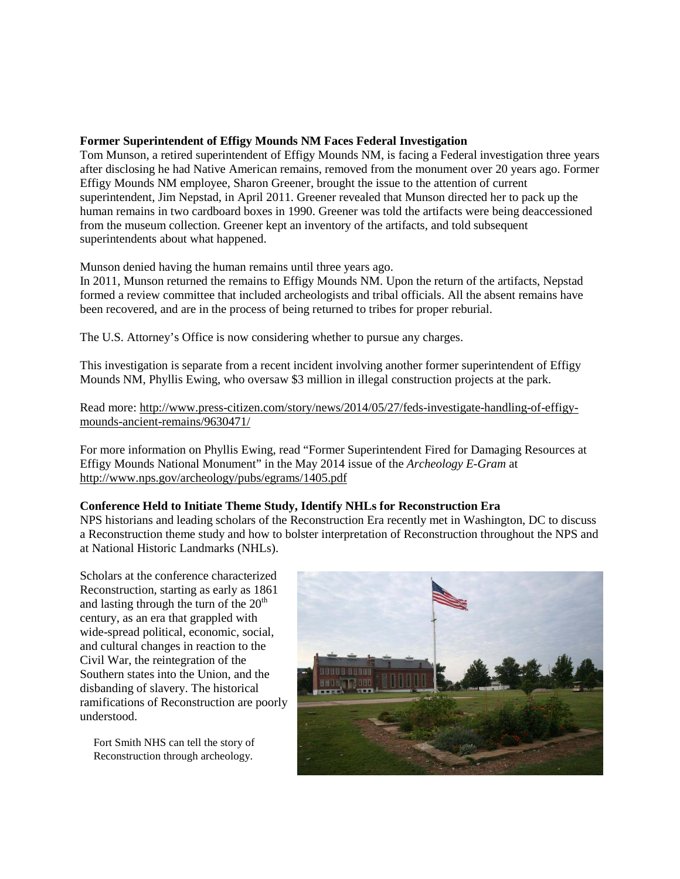#### **Former Superintendent of Effigy Mounds NM Faces Federal Investigation**

Tom Munson, a retired superintendent of Effigy Mounds NM, is facing a Federal investigation three years after disclosing he had Native American remains, removed from the monument over 20 years ago. Former Effigy Mounds NM employee, Sharon Greener, brought the issue to the attention of current superintendent, Jim Nepstad, in April 2011. Greener revealed that Munson directed her to pack up the human remains in two cardboard boxes in 1990. Greener was told the artifacts were being deaccessioned from the museum collection. Greener kept an inventory of the artifacts, and told subsequent superintendents about what happened.

Munson denied having the human remains until three years ago.

In 2011, Munson returned the remains to Effigy Mounds NM. Upon the return of the artifacts, Nepstad formed a review committee that included archeologists and tribal officials. All the absent remains have been recovered, and are in the process of being returned to tribes for proper reburial.

The U.S. Attorney's Office is now considering whether to pursue any charges.

This investigation is separate from a recent incident involving another former superintendent of Effigy Mounds NM, Phyllis Ewing, who oversaw \$3 million in illegal construction projects at the park.

Read more: [http://www.press-citizen.com/story/news/2014/05/27/feds-investigate-handling-of-effigy](http://www.press-citizen.com/story/news/2014/05/27/feds-investigate-handling-of-effigy-mounds-ancient-remains/9630471/)[mounds-ancient-remains/9630471/](http://www.press-citizen.com/story/news/2014/05/27/feds-investigate-handling-of-effigy-mounds-ancient-remains/9630471/)

For more information on Phyllis Ewing, read "Former Superintendent Fired for Damaging Resources at Effigy Mounds National Monument" in the May 2014 issue of the *Archeology E-Gram* at <http://www.nps.gov/archeology/pubs/egrams/1405.pdf>

#### **Conference Held to Initiate Theme Study, Identify NHLs for Reconstruction Era**

NPS historians and leading scholars of the Reconstruction Era recently met in Washington, DC to discuss a Reconstruction theme study and how to bolster interpretation of Reconstruction throughout the NPS and at National Historic Landmarks (NHLs).

Scholars at the conference characterized Reconstruction, starting as early as 1861 and lasting through the turn of the  $20<sup>th</sup>$ century, as an era that grappled with wide-spread political, economic, social, and cultural changes in reaction to the Civil War, the reintegration of the Southern states into the Union, and the disbanding of slavery. The historical ramifications of Reconstruction are poorly understood.

Fort Smith NHS can tell the story of Reconstruction through archeology.

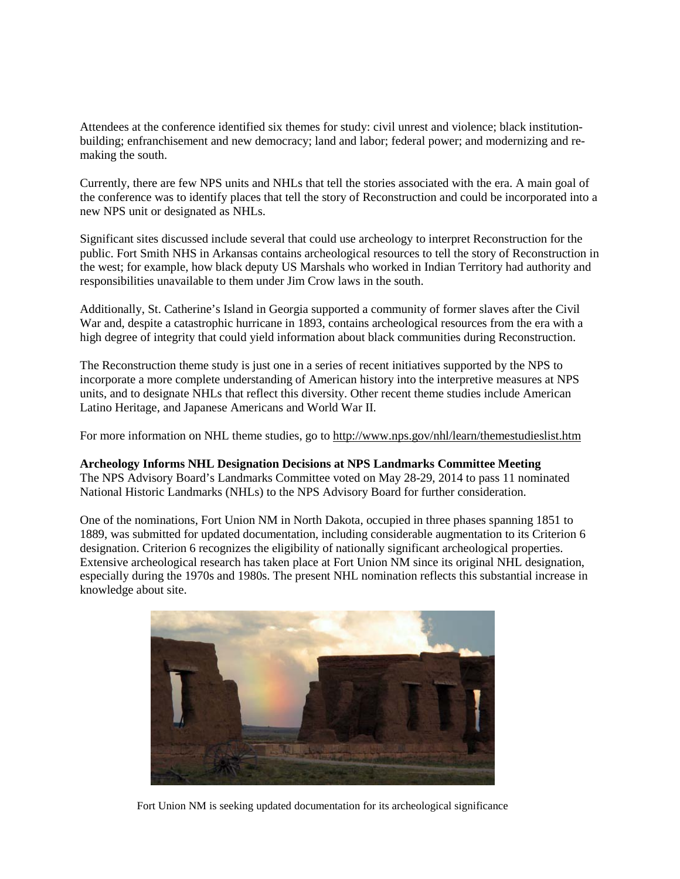Attendees at the conference identified six themes for study: civil unrest and violence; black institutionbuilding; enfranchisement and new democracy; land and labor; federal power; and modernizing and remaking the south.

Currently, there are few NPS units and NHLs that tell the stories associated with the era. A main goal of the conference was to identify places that tell the story of Reconstruction and could be incorporated into a new NPS unit or designated as NHLs.

Significant sites discussed include several that could use archeology to interpret Reconstruction for the public. Fort Smith NHS in Arkansas contains archeological resources to tell the story of Reconstruction in the west; for example, how black deputy US Marshals who worked in Indian Territory had authority and responsibilities unavailable to them under Jim Crow laws in the south.

Additionally, St. Catherine's Island in Georgia supported a community of former slaves after the Civil War and, despite a catastrophic hurricane in 1893, contains archeological resources from the era with a high degree of integrity that could yield information about black communities during Reconstruction.

The Reconstruction theme study is just one in a series of recent initiatives supported by the NPS to incorporate a more complete understanding of American history into the interpretive measures at NPS units, and to designate NHLs that reflect this diversity. Other recent theme studies include American Latino Heritage, and Japanese Americans and World War II.

For more information on NHL theme studies, go to<http://www.nps.gov/nhl/learn/themestudieslist.htm>

**Archeology Informs NHL Designation Decisions at NPS Landmarks Committee Meeting** The NPS Advisory Board's Landmarks Committee voted on May 28-29, 2014 to pass 11 nominated National Historic Landmarks (NHLs) to the NPS Advisory Board for further consideration.

One of the nominations, Fort Union NM in North Dakota, occupied in three phases spanning 1851 to 1889, was submitted for updated documentation, including considerable augmentation to its Criterion 6 designation. Criterion 6 recognizes the eligibility of nationally significant archeological properties. Extensive archeological research has taken place at Fort Union NM since its original NHL designation, especially during the 1970s and 1980s. The present NHL nomination reflects this substantial increase in knowledge about site.



Fort Union NM is seeking updated documentation for its archeological significance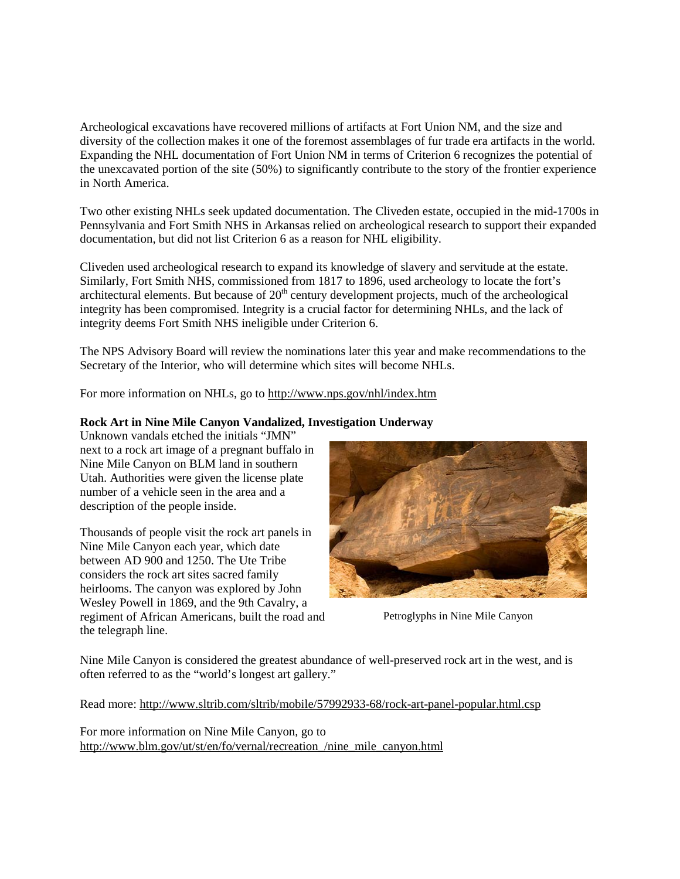Archeological excavations have recovered millions of artifacts at Fort Union NM, and the size and diversity of the collection makes it one of the foremost assemblages of fur trade era artifacts in the world. Expanding the NHL documentation of Fort Union NM in terms of Criterion 6 recognizes the potential of the unexcavated portion of the site (50%) to significantly contribute to the story of the frontier experience in North America.

Two other existing NHLs seek updated documentation. The Cliveden estate, occupied in the mid-1700s in Pennsylvania and Fort Smith NHS in Arkansas relied on archeological research to support their expanded documentation, but did not list Criterion 6 as a reason for NHL eligibility.

Cliveden used archeological research to expand its knowledge of slavery and servitude at the estate. Similarly, Fort Smith NHS, commissioned from 1817 to 1896, used archeology to locate the fort's architectural elements. But because of  $20<sup>th</sup>$  century development projects, much of the archeological integrity has been compromised. Integrity is a crucial factor for determining NHLs, and the lack of integrity deems Fort Smith NHS ineligible under Criterion 6.

The NPS Advisory Board will review the nominations later this year and make recommendations to the Secretary of the Interior, who will determine which sites will become NHLs.

For more information on NHLs, go to<http://www.nps.gov/nhl/index.htm>

# **Rock Art in Nine Mile Canyon Vandalized, Investigation Underway**

Unknown vandals etched the initials "JMN" next to a rock art image of a pregnant buffalo in Nine Mile Canyon on BLM land in southern Utah. Authorities were given the license plate number of a vehicle seen in the area and a description of the people inside.

Thousands of people visit the rock art panels in Nine Mile Canyon each year, which date between AD 900 and 1250. The Ute Tribe considers the rock art sites sacred family heirlooms. The canyon was explored by John Wesley Powell in 1869, and the 9th Cavalry, a regiment of African Americans, built the road and the telegraph line.



Petroglyphs in Nine Mile Canyon

Nine Mile Canyon is considered the greatest abundance of well-preserved rock art in the west, and is often referred to as the "world's longest art gallery."

Read more:<http://www.sltrib.com/sltrib/mobile/57992933-68/rock-art-panel-popular.html.csp>

For more information on Nine Mile Canyon, go to [http://www.blm.gov/ut/st/en/fo/vernal/recreation\\_/nine\\_mile\\_canyon.html](http://www.blm.gov/ut/st/en/fo/vernal/recreation_/nine_mile_canyon.html)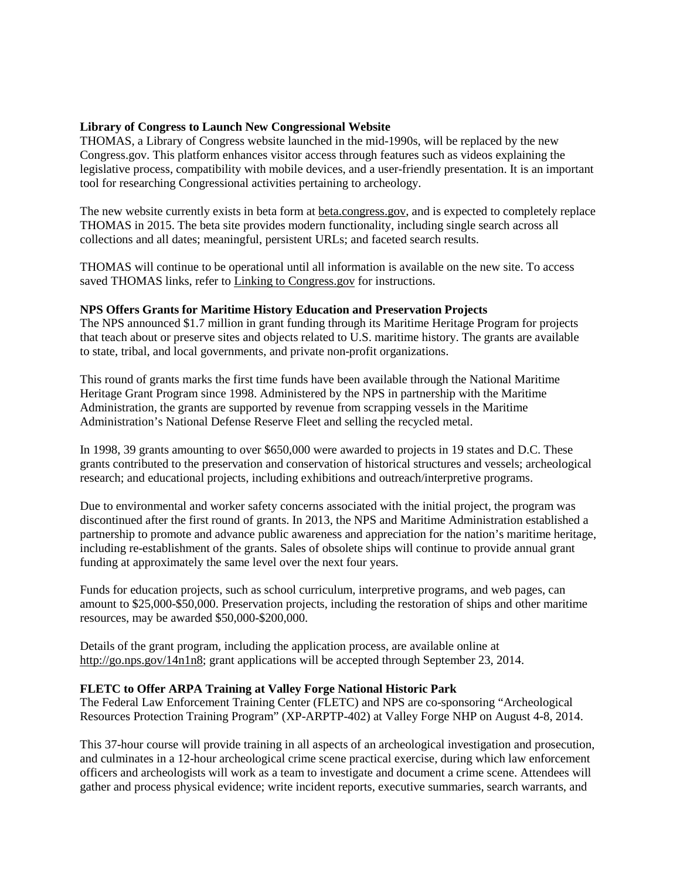## **Library of Congress to Launch New Congressional Website**

THOMAS, a Library of Congress website launched in the mid-1990s, will be replaced by the new Congress.gov. This platform enhances visitor access through features such as videos explaining the legislative process, compatibility with mobile devices, and a user-friendly presentation. It is an important tool for researching Congressional activities pertaining to archeology.

The new website currently exists in beta form a[t beta.congress.gov,](http://beta.congress.gov/) and is expected to completely replace THOMAS in 2015. The beta site provides modern functionality, including single search across all collections and all dates; meaningful, persistent URLs; and faceted search results.

THOMAS will continue to be operational until all information is available on the new site. To access saved THOMAS links, refer t[o Linking to Congress.gov](https://beta.congress.gov/help/faq/transitioning-thomas-handles-or-links) for instructions.

#### **NPS Offers Grants for Maritime History Education and Preservation Projects**

The NPS announced \$1.7 million in grant funding through its Maritime Heritage Program for projects that teach about or preserve sites and objects related to U.S. maritime history. The grants are available to state, tribal, and local governments, and private non-profit organizations.

This round of grants marks the first time funds have been available through the National Maritime Heritage Grant Program since 1998. Administered by the NPS in partnership with the Maritime Administration, the grants are supported by revenue from scrapping vessels in the Maritime Administration's National Defense Reserve Fleet and selling the recycled metal.

In 1998, 39 grants amounting to over \$650,000 were awarded to projects in 19 states and D.C. These grants contributed to the preservation and conservation of historical structures and vessels; archeological research; and educational projects, including exhibitions and outreach/interpretive programs.

Due to environmental and worker safety concerns associated with the initial project, the program was discontinued after the first round of grants. In 2013, the NPS and Maritime Administration established a partnership to promote and advance public awareness and appreciation for the nation's maritime heritage, including re-establishment of the grants. Sales of obsolete ships will continue to provide annual grant funding at approximately the same level over the next four years.

Funds for education projects, such as school curriculum, interpretive programs, and web pages, can amount to \$25,000-\$50,000. Preservation projects, including the restoration of ships and other maritime resources, may be awarded \$50,000-\$200,000.

Details of the grant program, including the application process, are available online at [http://go.nps.gov/14n1n8;](http://go.nps.gov/14n1n8) grant applications will be accepted through September 23, 2014.

#### **FLETC to Offer ARPA Training at Valley Forge National Historic Park**

The Federal Law Enforcement Training Center (FLETC) and NPS are co-sponsoring "Archeological Resources Protection Training Program" (XP-ARPTP-402) at Valley Forge NHP on August 4-8, 2014.

This 37-hour course will provide training in all aspects of an archeological investigation and prosecution, and culminates in a 12-hour archeological crime scene practical exercise, during which law enforcement officers and archeologists will work as a team to investigate and document a crime scene. Attendees will gather and process physical evidence; write incident reports, executive summaries, search warrants, and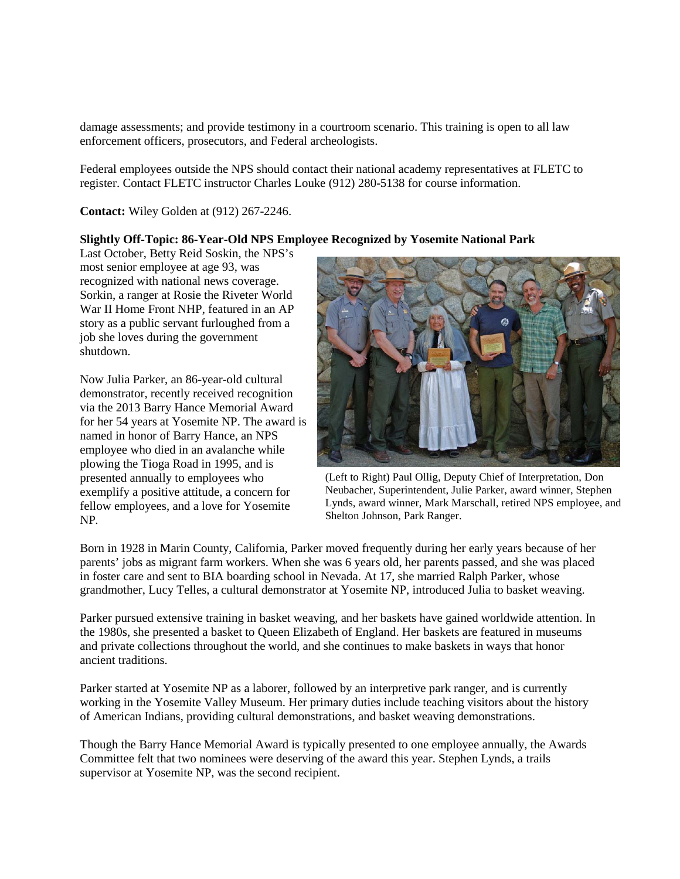damage assessments; and provide testimony in a courtroom scenario. This training is open to all law enforcement officers, prosecutors, and Federal archeologists.

Federal employees outside the NPS should contact their national academy representatives at FLETC to register. Contact FLETC instructor Charles Louke (912) 280-5138 for course information.

**Contact:** Wiley Golden at (912) 267-2246.

## **Slightly Off-Topic: 86-Year-Old NPS Employee Recognized by Yosemite National Park**

Last October, Betty Reid Soskin, the NPS's most senior employee at age 93, was recognized with national news coverage. Sorkin, a ranger at Rosie the Riveter World War II Home Front NHP, featured in an AP story as a public servant furloughed from a job she loves during the government shutdown.

Now Julia Parker, an 86-year-old cultural demonstrator, recently received recognition via the 2013 Barry Hance Memorial Award for her 54 years at Yosemite NP. The award is named in honor of Barry Hance, an NPS employee who died in an avalanche while plowing the Tioga Road in 1995, and is presented annually to employees who exemplify a positive attitude, a concern for fellow employees, and a love for Yosemite NP*.*



(Left to Right) Paul Ollig, Deputy Chief of Interpretation, Don Neubacher, Superintendent, Julie Parker, award winner, Stephen Lynds, award winner, Mark Marschall, retired NPS employee, and Shelton Johnson, Park Ranger.

Born in 1928 in Marin County, California, Parker moved frequently during her early years because of her parents' jobs as migrant farm workers. When she was 6 years old, her parents passed, and she was placed in foster care and sent to BIA boarding school in Nevada. At 17, she married Ralph Parker, whose grandmother, Lucy Telles, a cultural demonstrator at Yosemite NP, introduced Julia to basket weaving.

Parker pursued extensive training in basket weaving, and her baskets have gained worldwide attention. In the 1980s, she presented a basket to Queen Elizabeth of England. Her baskets are featured in museums and private collections throughout the world, and she continues to make baskets in ways that honor ancient traditions.

Parker started at Yosemite NP as a laborer, followed by an interpretive park ranger, and is currently working in the Yosemite Valley Museum. Her primary duties include teaching visitors about the history of American Indians, providing cultural demonstrations, and basket weaving demonstrations.

Though the Barry Hance Memorial Award is typically presented to one employee annually, the Awards Committee felt that two nominees were deserving of the award this year. Stephen Lynds, a trails supervisor at Yosemite NP, was the second recipient.